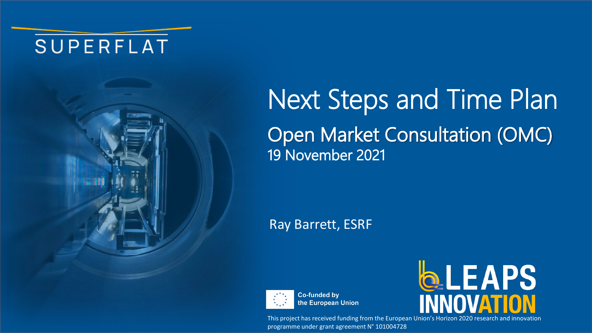## SUPERFLAT



# Next Steps and Time Plan Open Market Consultation (OMC) 19 November 2021

### Ray Barrett, ESRF



**Co-funded by** the European Union



This project has received funding from the European Union's Horizon 2020 research and innovation programme under grant agreement N° 101004728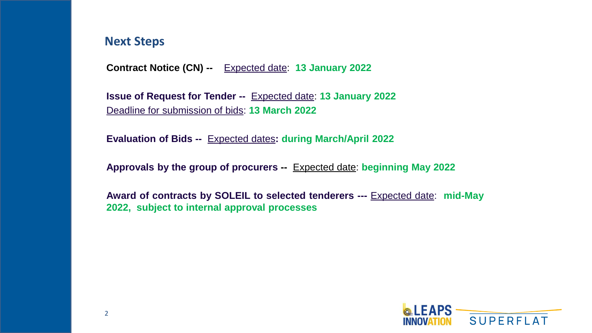#### **Next Steps**

**Contract Notice (CN) --** Expected date: **13 January 2022** 

**Issue of Request for Tender --** Expected date: **13 January 2022** Deadline for submission of bids: **13 March 2022**

**Evaluation of Bids --** Expected dates**: during March/April 2022**

**Approvals by the group of procurers --** Expected date: **beginning May 2022**

**Award of contracts by SOLEIL to selected tenderers ---** Expected date: **mid-May 2022, subject to internal approval processes**

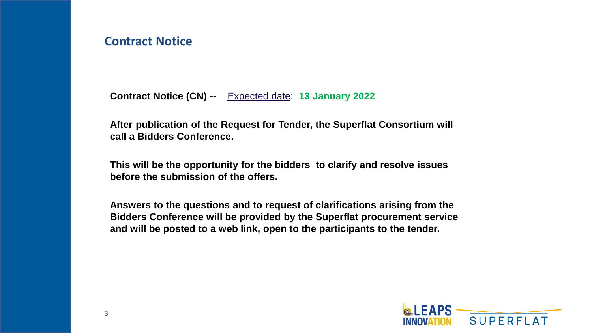#### **Contract Notice**

**Contract Notice (CN) --** Expected date: **13 January 2022**

**After publication of the Request for Tender, the Superflat Consortium will call a Bidders Conference.**

**This will be the opportunity for the bidders to clarify and resolve issues before the submission of the offers.**

**Answers to the questions and to request of clarifications arising from the Bidders Conference will be provided by the Superflat procurement service and will be posted to a web link, open to the participants to the tender.**

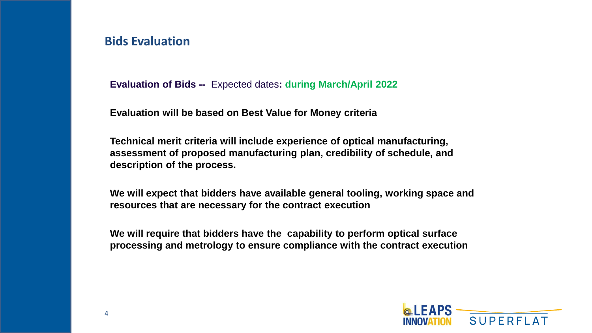#### **Bids Evaluation**

**Evaluation of Bids --** Expected dates**: during March/April 2022**

**Evaluation will be based on Best Value for Money criteria**

**Technical merit criteria will include experience of optical manufacturing, assessment of proposed manufacturing plan, credibility of schedule, and description of the process.**

**We will expect that bidders have available general tooling, working space and resources that are necessary for the contract execution**

**We will require that bidders have the capability to perform optical surface processing and metrology to ensure compliance with the contract execution** 

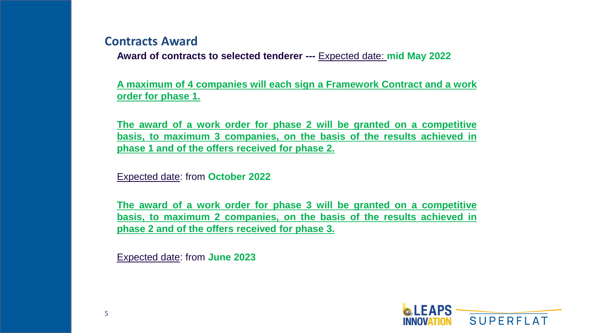#### **Contracts Award**

**Award of contracts to selected tenderer ---** Expected date: **mid May 2022**

**A maximum of 4 companies will each sign a Framework Contract and a work order for phase 1.**

**The award of a work order for phase 2 will be granted on a competitive basis, to maximum 3 companies, on the basis of the results achieved in phase 1 and of the offers received for phase 2.**

Expected date: from **October 2022**

**The award of a work order for phase 3 will be granted on a competitive basis, to maximum 2 companies, on the basis of the results achieved in phase 2 and of the offers received for phase 3.**

Expected date: from **June 2023**

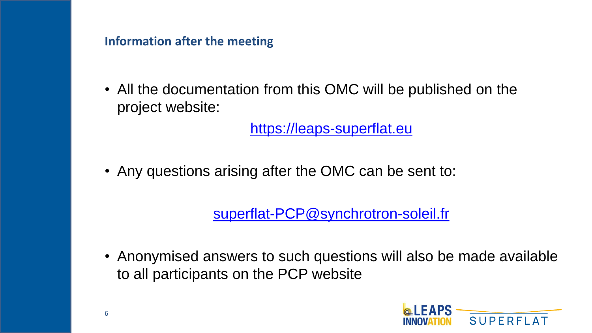**Information after the meeting**

• All the documentation from this OMC will be published on the project website:

[https://leaps-superflat.eu](https://leaps-superflat.eu/)

• Any questions arising after the OMC can be sent to:

[superflat-PCP@synchrotron-soleil.fr](mailto:superflat-PCP@synchrotron-soleil.fr)

• Anonymised answers to such questions will also be made available to all participants on the PCP website